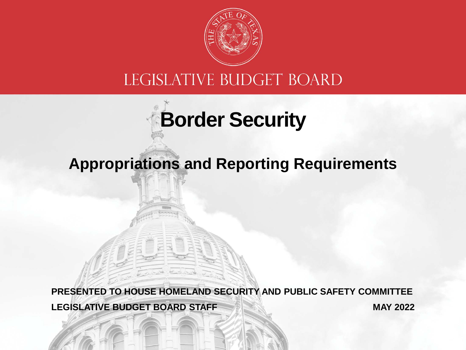

#### LEGISLATIVE BUDGET BOARD

# **Border Security**

#### **Appropriations and Reporting Requirements**

**LEGISLATIVE BUDGET BOARD STAFF PRESENTED TO HOUSE HOMELAND SECURITY AND PUBLIC SAFETY COMMITTEE MAY 2022**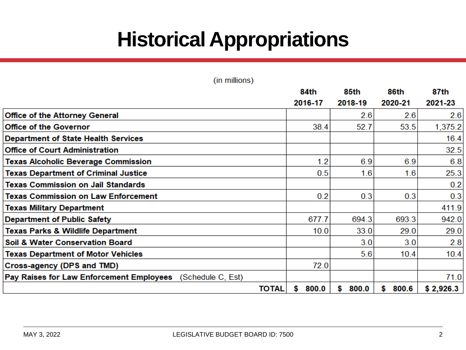## **Historical Appropriations**

| (in millions)                                                 |              |             |             |             |           |
|---------------------------------------------------------------|--------------|-------------|-------------|-------------|-----------|
|                                                               |              | 84th        | 85th        | 86th        | 87th      |
|                                                               |              | 2016-17     | 2018-19     | 2020-21     | 2021-23   |
| <b>Office of the Attorney General</b>                         |              |             | 2.6         | 2.6         | 2.6       |
| <b>Office of the Governor</b>                                 |              | 38.4        | 52.7        | 53.5        | 1,375.2   |
| <b>Department of State Health Services</b>                    |              |             |             |             | 16.4      |
| <b>Office of Court Administration</b>                         |              |             |             |             | 32.5      |
| <b>Texas Alcoholic Beverage Commission</b>                    |              | 1.2         | 6.9         | 6.9         | 6.8       |
| <b>Texas Department of Criminal Justice</b>                   |              | 0.5         | 1.6         | 1.6         | 25.3      |
| <b>Texas Commission on Jail Standards</b>                     |              |             |             |             | 0.2       |
| <b>Texas Commission on Law Enforcement</b>                    |              | 0.2         | 0.3         | 0.3         | 0.3       |
| <b>Texas Military Department</b>                              |              |             |             |             | 411.9     |
| <b>Department of Public Safety</b>                            |              | 677.7       | 694.3       | 693.3       | 942.0     |
| <b>Texas Parks &amp; Wildlife Department</b>                  |              | 10.0        | 33.0        | 29.0        | 29.0      |
| Soil & Water Conservation Board                               |              |             | 3.0         | 3.0         | 2.8       |
| <b>Texas Department of Motor Vehicles</b>                     |              |             | 5.6         | 10.4        | 10.4      |
| Cross-agency (DPS and TMD)                                    |              | 72.0        |             |             |           |
| Pay Raises for Law Enforcement Employees<br>(Schedule C, Est) |              |             |             |             | 71.0      |
|                                                               | <b>TOTAL</b> | 800.0<br>\$ | \$<br>800.0 | \$<br>800.6 | \$2,926.3 |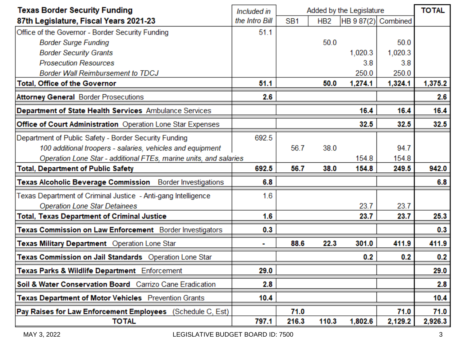| <b>Texas Border Security Funding</b>                                | Included in    | Added by the Legislature |                 |         |                     | <b>TOTAL</b> |
|---------------------------------------------------------------------|----------------|--------------------------|-----------------|---------|---------------------|--------------|
| 87th Legislature, Fiscal Years 2021-23                              | the Intro Bill | SB <sub>1</sub>          | HB <sub>2</sub> |         | HB 9 87(2) Combined |              |
| Office of the Governor - Border Security Funding                    | 51.1           |                          |                 |         |                     |              |
| <b>Border Surge Funding</b>                                         |                |                          | 50.0            |         | 50.0                |              |
| <b>Border Security Grants</b>                                       |                |                          |                 | 1,020.3 | 1,020.3             |              |
| <b>Prosecution Resources</b>                                        |                |                          |                 | 3.8     | 3.8                 |              |
| <b>Border Wall Reimbursement to TDCJ</b>                            |                |                          |                 | 250.0   | 250.0               |              |
| Total, Office of the Governor                                       | 51.1           |                          | 50.0            | 1,274.1 | 1,324.1             | 1,375.2      |
| <b>Attorney General Border Prosecutions</b>                         | 2.6            |                          |                 |         |                     | 2.6          |
| Department of State Health Services Ambulance Services              |                |                          |                 | 16.4    | 16.4                | 16.4         |
| Office of Court Administration Operation Lone Star Expenses         |                |                          |                 | 32.5    | 32.5                | 32.5         |
| Department of Public Safety - Border Security Funding               | 692.5          |                          |                 |         |                     |              |
| 100 additional troopers - salaries, vehicles and equipment          |                | 56.7                     | 38.0            |         | 94.7                |              |
| Operation Lone Star - additional FTEs, marine units, and salaries   |                |                          |                 | 154.8   | 154.8               |              |
| <b>Total, Department of Public Safety</b>                           | 692.5          | 56.7                     | 38.0            | 154.8   | 249.5               | 942.0        |
| Texas Alcoholic Beverage Commission<br><b>Border Investigations</b> | 6.8            |                          |                 |         |                     | 6.8          |
| Texas Department of Criminal Justice - Anti-gang Intelligence       | 1.6            |                          |                 |         |                     |              |
| <b>Operation Lone Star Detainees</b>                                |                |                          |                 | 23.7    | 23.7                |              |
| <b>Total, Texas Department of Criminal Justice</b>                  | 1.6            |                          |                 | 23.7    | 23.7                | 25.3         |
| Texas Commission on Law Enforcement Border Investigators            | 0.3            |                          |                 |         |                     | 0.3          |
| Texas Military Department Operation Lone Star                       |                | 88.6                     | 22.3            | 301.0   | 411.9               | 411.9        |
| Texas Commission on Jail Standards Operation Lone Star              |                |                          |                 | 0.2     | 0.2                 | 0.2          |
| Texas Parks & Wildlife Department Enforcement                       | 29.0           |                          |                 |         |                     | 29.0         |
| Soil & Water Conservation Board Carrizo Cane Eradication            | 2.8            |                          |                 |         |                     | 2.8          |
| Texas Department of Motor Vehicles Prevention Grants                | 10.4           |                          |                 |         |                     | 10.4         |
| Pay Raises for Law Enforcement Employees (Schedule C, Est)          |                | 71.0                     |                 |         | 71.0                | 71.0         |
| <b>TOTAL</b>                                                        | 797.1          | 216.3                    | 110.3           | 1,802.6 | 2,129.2             | 2,926.3      |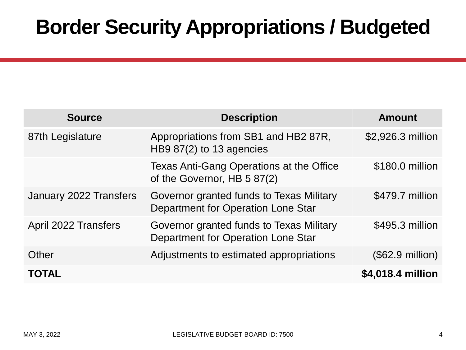### **Border Security Appropriations / Budgeted**

| <b>Source</b>          | <b>Description</b>                                                             | <b>Amount</b>             |
|------------------------|--------------------------------------------------------------------------------|---------------------------|
| 87th Legislature       | Appropriations from SB1 and HB2 87R,<br>HB9 $87(2)$ to 13 agencies             | \$2,926.3 million         |
|                        | Texas Anti-Gang Operations at the Office<br>of the Governor, HB 5 87(2)        | \$180.0 million           |
| January 2022 Transfers | Governor granted funds to Texas Military<br>Department for Operation Lone Star | \$479.7 million           |
| April 2022 Transfers   | Governor granted funds to Texas Military<br>Department for Operation Lone Star | \$495.3 million           |
| Other                  | Adjustments to estimated appropriations                                        | $($62.9 \text{ million})$ |
| <b>TOTAL</b>           |                                                                                | \$4,018.4 million         |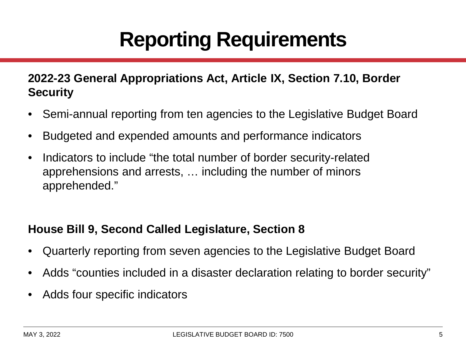## **Reporting Requirements**

#### **2022-23 General Appropriations Act, Article IX, Section 7.10, Border Security**

- Semi-annual reporting from ten agencies to the Legislative Budget Board
- Budgeted and expended amounts and performance indicators
- Indicators to include "the total number of border security-related apprehensions and arrests, … including the number of minors apprehended."

#### **House Bill 9, Second Called Legislature, Section 8**

- Quarterly reporting from seven agencies to the Legislative Budget Board
- Adds "counties included in a disaster declaration relating to border security"
- Adds four specific indicators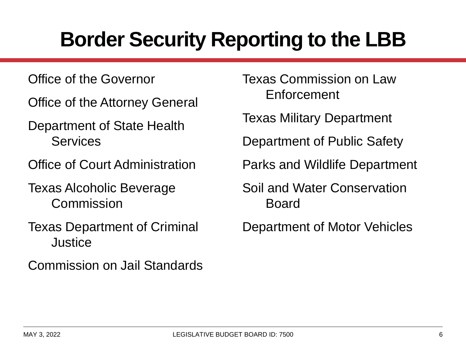## **Border Security Reporting to the LBB**

Office of the Governor

Office of the Attorney General

Department of State Health Services

Office of Court Administration

Texas Alcoholic Beverage **Commission** 

Texas Department of Criminal **Justice** 

Commission on Jail Standards

Texas Commission on Law Enforcement

Texas Military Department

Department of Public Safety

Parks and Wildlife Department

Soil and Water Conservation Board

Department of Motor Vehicles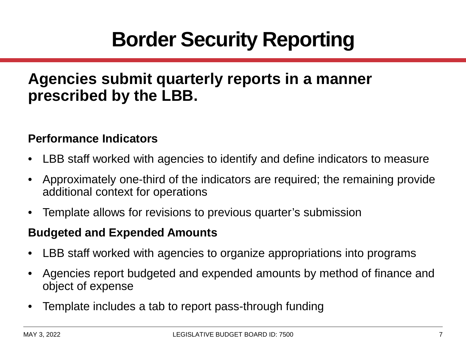## **Border Security Reporting**

#### **Agencies submit quarterly reports in a manner prescribed by the LBB.**

#### **Performance Indicators**

- LBB staff worked with agencies to identify and define indicators to measure
- Approximately one-third of the indicators are required; the remaining provide additional context for operations
- Template allows for revisions to previous quarter's submission

#### **Budgeted and Expended Amounts**

- LBB staff worked with agencies to organize appropriations into programs
- Agencies report budgeted and expended amounts by method of finance and object of expense
- Template includes a tab to report pass-through funding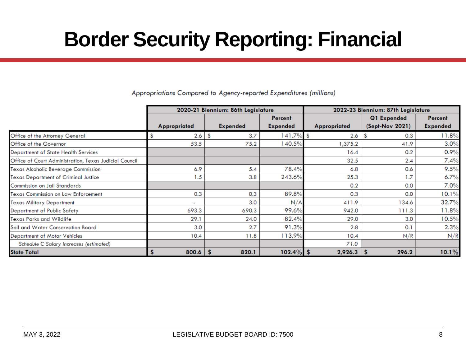## **Border Security Reporting: Financial**

|                                                        |                     | 2020-21 Biennium: 86th Legislature |                 | 2022-23 Biennium: 87th Legislature |                   |                 |  |
|--------------------------------------------------------|---------------------|------------------------------------|-----------------|------------------------------------|-------------------|-----------------|--|
|                                                        |                     |                                    | Percent         |                                    | Q1 Expended       | <b>Percent</b>  |  |
|                                                        | <b>Appropriated</b> | <b>Expended</b>                    | <b>Expended</b> | <b>Appropriated</b>                | $(Sept-Nov 2021)$ | <b>Expended</b> |  |
| Office of the Attorney General                         | 2.6                 | \$<br>3.7                          | $141.7\%$ \$    | 2.6                                | 0.3<br>S          | 11.8%           |  |
| Office of the Governor                                 | 53.5                | 75.2                               | 140.5%          | 1,375.2                            | 41.9              | 3.0%            |  |
| <b>Department of State Health Services</b>             |                     |                                    |                 | 16.4                               | 0.2               | 0.9%            |  |
| Office of Court Administration, Texas Judicial Council |                     |                                    |                 | 32.5                               | 2.4               | 7.4%            |  |
| Texas Alcoholic Beverage Commission                    | 6.9                 | 5.4                                | 78.4%           | 6.8                                | 0.6               | 9.5%            |  |
| Texas Department of Criminal Justice                   | 1.5                 | 3.8                                | 243.6%          | 25.3                               | 1.7               | 6.7%            |  |
| Commission on Jail Standards                           |                     |                                    |                 | 0.2                                | 0.0               | 7.0%            |  |
| Texas Commission on Law Enforcement                    | 0.3                 | 0.3                                | 89.8%           | 0.3                                | 0.0               | 10.1%           |  |
| Texas Military Department                              |                     | 3.0                                | N/A             | 411.9                              | 134.6             | 32.7%           |  |
| <b>Department of Public Safety</b>                     | 693.3               | 690.3                              | 99.6%           | 942.0                              | 111.3             | 11.8%           |  |
| Texas Parks and Wildlife                               | 29.1                | 24.0                               | 82.4%           | 29.0                               | 3.0               | 10.5%           |  |
| Soil and Water Conservation Board                      | 3.0                 | 2.7                                | 91.3%           | 2.8                                | 0.1               | 2.3%            |  |
| <b>Department of Motor Vehicles</b>                    | 10.4                | 11.8                               | 113.9%          | 10.4                               | N/R               | N/R             |  |
| Schedule C Salary Increases (estimated)                |                     |                                    |                 | 71.0                               |                   |                 |  |
| <b>State Total</b>                                     | $800.6$   \$        | 820.1                              | $102.4\%$ \$    | $2,926.3$ \$                       | 296.2             | 10.1%           |  |

Appropriations Compared to Agency-reported Expenditures (millions)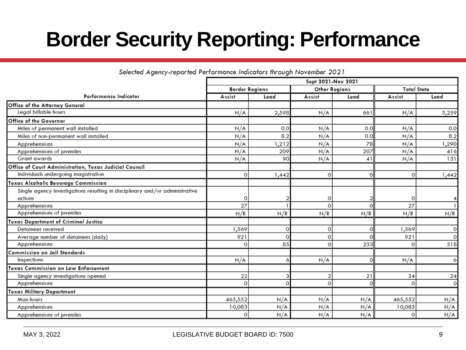## **Border Security Reporting: Performance**

Selected Agency-reported Performance Indicators through November 2021

|                                                                              | Sept 2021-Nov 2021    |          |                      |              |                    |              |
|------------------------------------------------------------------------------|-----------------------|----------|----------------------|--------------|--------------------|--------------|
|                                                                              | <b>Border Regions</b> |          | <b>Other Regions</b> |              | <b>Total State</b> |              |
| <b>Performance Indicator</b>                                                 | <b>Assist</b>         | Lead     | <b>Assist</b>        | Lead         | <b>Assist</b>      | Lead         |
| Office of the Attorney General                                               |                       |          |                      |              |                    |              |
| <b>Legal billable hours</b>                                                  | N/A                   | 2,598    | N/A                  | 661          | N/A                | 3,259        |
| Office of the Governor                                                       |                       |          |                      |              |                    |              |
| Miles of permanent wall installed                                            | N/A                   | 0.0      | N/A                  | 0.0          | N/A                | 0.0          |
| Miles of non-permanent wall installed                                        | N/A                   | 8.2      | N/A                  | 0.0          | N/A                | 8.2          |
| Apprehensions                                                                | N/A                   | 1,212    | N/A                  | 78           | N/A                | 1,290        |
| Apprehensions of juveniles                                                   | N/A                   | 209      | N/A                  | 207          | N/A                | 416          |
| <b>Grant awards</b>                                                          | N/A                   | 90       | N/A                  | 41           | N/A                | 131          |
| Office of Court Administration, Texas Judicial Council                       |                       |          |                      |              |                    |              |
| Individuals undergoing magistration                                          | $\Omega$              | 1,442    | 0                    | $\Omega$     | $\mathbf{O}$       | 1,442        |
| Texas Alcoholic Beverage Commission                                          |                       |          |                      |              |                    |              |
| Single agency investigations resulting in disciplinary and/or administrative |                       |          |                      |              |                    |              |
| actions                                                                      | 0                     |          |                      |              | 0                  |              |
| Apprehensions                                                                | 27                    |          | O                    |              | 27                 |              |
| Apprehensions of juveniles                                                   | N/R                   | N/R      | N/R                  | N/R          | N/R                | N/R          |
| <b>Texas Department of Criminal Justice</b>                                  |                       |          |                      |              |                    |              |
| <b>Detainees received</b>                                                    | 1,569                 | 0        | 0                    | o            | 1,569              | $\mathbf{O}$ |
| Average number of detainees (daily)                                          | 921                   | $\Omega$ | 0                    | O            | 921                | $\mathbf{O}$ |
| Apprehensions                                                                | $\mathbf{o}$          | 85       | $\overline{0}$       | 233          | 0                  | 318          |
| Commission on Jail Standards                                                 |                       |          |                      |              |                    |              |
| <b>Inspections</b>                                                           | N/A                   | 6        | N/A                  | $\mathbf{O}$ | N/A                | 6            |
| <b>Texas Commission on Law Enforcement</b>                                   |                       |          |                      |              |                    |              |
| Single agency investigations opened                                          | 22                    | 3        | 2                    | 21           | 24                 | 24           |
| Apprehensions                                                                | $\Omega$              | $\Omega$ | $\Omega$             | $\Omega$     | $\Omega$           | $\mathbf{O}$ |
| Texas Military Department                                                    |                       |          |                      |              |                    |              |
| <b>Man hours</b>                                                             | 465,552               | N/A      | N/A                  | N/A          | 465,552            | N/A          |
| Apprehensions                                                                | 10,083                | N/A      | N/A                  | N/A          | 10,083             | N/A          |
| Apprehensions of juveniles                                                   | $\overline{0}$        | N/A      | N/A                  | N/A          | 0                  | N/A          |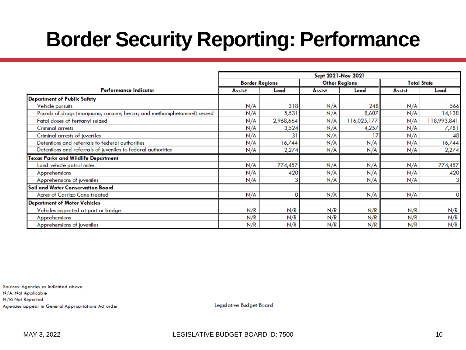## **Border Security Reporting: Performance**

|                                                                           | Sept 2021-Nov 2021                            |           |        |                    |               |             |
|---------------------------------------------------------------------------|-----------------------------------------------|-----------|--------|--------------------|---------------|-------------|
|                                                                           | <b>Other Regions</b><br><b>Border Regions</b> |           |        | <b>Total State</b> |               |             |
| Performance Indicator                                                     | <b>Assist</b>                                 | Lead      | Assist | Lead               | <b>Assist</b> | Lead        |
| Department of Public Safety                                               |                                               |           |        |                    |               |             |
| Vehicle pursuits                                                          | N/A                                           | 318       | N/A    | 248                | N/A           | 566         |
| Pounds of drugs (marijuana, cocaine, heroin, and methamphetaminel) seized | N/A                                           | 5,531     | N/A    | 8,607              | N/A           | 14,138      |
| Fatal doses of fentanyl seized                                            | N/A                                           | 2,968,664 | N/A    | 116,025,177        | N/A           | 118,993,841 |
| Criminal arrests                                                          | N/A                                           | 3,524     | N/A    | 4,257              | N/A           | 7,781       |
| Criminal arrests of juveniles                                             | N/A                                           | 31        | N/A    | 17                 | N/A           | 48          |
| Detentions and referrals to federal authorities                           | N/A                                           | 16,744    | N/A    | N/A                | N/A           | 16,744      |
| Detentions and referrals of juveniles to federal authorities              | N/A                                           | 2,274     | N/A    | N/A                | N/A           | 2,274       |
| Texas Parks and Wildlife Department                                       |                                               |           |        |                    |               |             |
| Land vehide patrol miles                                                  | N/A                                           | 774,457   | N/A    | N/A                | N/A           | 774,457     |
| Apprehensions                                                             | N/A                                           | 420       | N/A    | N/A                | N/A           | 420         |
| Apprehensions of juveniles                                                | N/A                                           |           | N/A    | N/A                | N/A           |             |
| Soil and Water Conservation Board                                         |                                               |           |        |                    |               |             |
| Acres of Carrizo Cane treated                                             | N/A                                           |           | N/A    | N/A                | N/A           |             |
| <b>Department of Motor Vehicles</b>                                       |                                               |           |        |                    |               |             |
| Vehicles inspected at port or bridge                                      | N/R                                           | N/R       | N/R    | N/R                | N/R           | N/R         |
| Apprehensions                                                             | N/R                                           | N/R       | N/R    | N/R                | N/R           | N/R         |
| Apprehensions of juveniles                                                | N/R                                           | N/R       | N/R    | N/R                | N/R           | N/R         |

Sources: Agencies as indicated above N/A: Not Applicable N/R: Not Reported Agencies appear in General Appropriations Act order

Legislative Budget Board